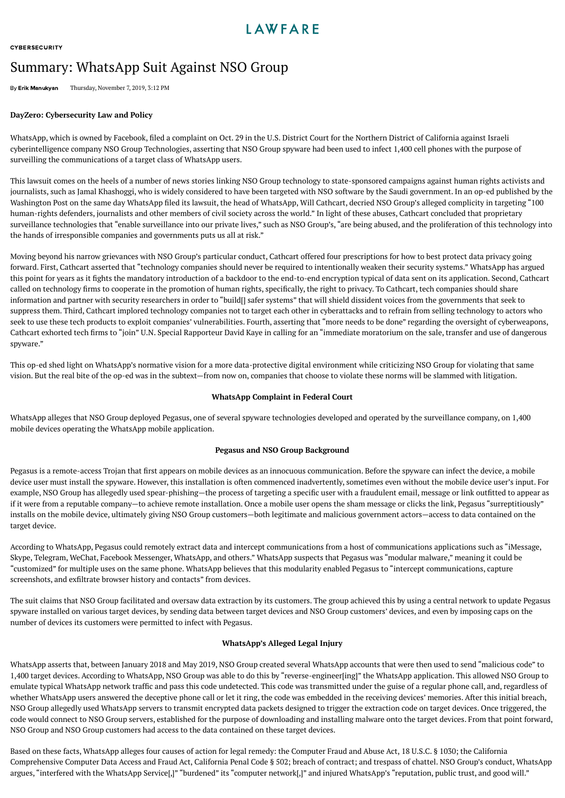**[CYBERSECURITY](https://www.lawfareblog.com/tagged/cybersecurity)** 

# Summary: WhatsApp Suit Against NSO Group

By Erik [Manukyan](https://www.lawfareblog.com/contributors/emanukyan) Thursday, November 7, 2019, 3:12 PM

## **DayZero: [Cybersecurity](https://www.lawfareblog.com/coverage/dayzero-cybersecurity-law-and-policy) Law and Policy**

WhatsApp, which is owned by Facebook, filed a [complaint](https://context-cdn.washingtonpost.com/notes/prod/default/documents/bf5edf35-5672-49fa-aca1-edefadff683f/note/8ef25c0d-fee9-416a-b7f9-e0a4dedc66f2.pdf#page=1) on Oct. 29 in the U.S. District Court for the Northern District of California against Israeli cyberintelligence company NSO Group Technologies, asserting that NSO Group spyware had been used to infect 1,400 cell phones with the purpose of surveilling the communications of a target class of WhatsApp users.

This lawsuit comes on the heels of a number of news [stories](https://www.nytimes.com/2018/12/02/world/middleeast/saudi-khashoggi-spyware-israel.html) linking NSO Group technology to state-sponsored campaigns against human rights activists and journalists, such as Jamal Khashoggi, who is widely considered to have been targeted with NSO software by the Saudi government. In an [op-ed](https://www.washingtonpost.com/opinions/2019/10/29/why-whatsapp-is-pushing-back-nso-group-hacking/) published by the Washington Post on the same day WhatsApp filed its lawsuit, the head of WhatsApp, Will Cathcart, decried NSO Group's alleged complicity in targeting "100 human-rights defenders, journalists and other members of civil society across the world." In light of these abuses, Cathcart concluded that proprietary surveillance technologies that "enable surveillance into our private lives," such as NSO Group's, "are being abused, and the proliferation of this technology into the hands of irresponsible companies and governments puts us all at risk."

Moving beyond his narrow grievances with NSO Group's particular conduct, Cathcart offered four prescriptions for how to best protect data privacy going forward. First, Cathcart asserted that "technology companies should never be required to intentionally weaken their security systems." WhatsApp has argued this point for years as it ghts the mandatory introduction of a backdoor to the end-to-end encryption typical of data sent on its application. Second, Cathcart called on technology firms to cooperate in the promotion of human rights, specifically, the right to privacy. To Cathcart, tech companies should share information and partner with security researchers in order to "build[] safer systems" that will shield dissident voices from the governments that seek to suppress them. Third, Cathcart implored technology companies not to target each other in cyberattacks and to refrain from selling technology to actors who seek to use these tech products to exploit companies' vulnerabilities. Fourth, asserting that "more needs to be done" regarding the oversight of cyberweapons, Cathcart exhorted tech firms to "join" U.N. Special Rapporteur David Kaye in [calling](https://www.ohchr.org/EN/NewsEvents/Pages/DisplayNews.aspx?NewsID=24736&LangID=E) for an "immediate moratorium on the sale, transfer and use of dangerous spyware."

This op-ed shed light on WhatsApp's normative vision for a more data-protective digital environment while criticizing NSO Group for violating that same vision. But the real bite of the op-ed was in the subtext—from now on, companies that choose to violate these norms will be slammed with litigation.

## **WhatsApp Complaint in Federal Court**

WhatsApp alleges that NSO Group deployed Pegasus, one of several spyware technologies developed and operated by the surveillance company, on 1,400 mobile devices operating the WhatsApp mobile application.

### **Pegasus and NSO Group Background**

Pegasus is a remote-access Trojan that first appears on mobile devices as an innocuous communication. Before the spyware can infect the device, a mobile device user must install the spyware. However, this installation is often commenced inadvertently, sometimes even without the mobile device user's input. For example, NSO Group has allegedly used spear-phishing—the process of targeting a specific user with a fraudulent email, message or link outfitted to appear as if it were from a reputable company—to achieve remote installation. Once a mobile user opens the sham message or clicks the link, Pegasus "surreptitiously" installs on the mobile device, ultimately giving NSO Group customers—both legitimate and malicious government actors—access to data contained on the target device.

According to WhatsApp, Pegasus could remotely extract data and intercept communications from a host of communications applications such as "iMessage, Skype, Telegram, WeChat, Facebook Messenger, WhatsApp, and others." WhatsApp suspects that Pegasus was "modular malware," meaning it could be "customized" for multiple uses on the same phone. WhatsApp believes that this modularity enabled Pegasus to "intercept communications, capture screenshots, and exfiltrate browser history and contacts" from devices.

The suit claims that NSO Group facilitated and oversaw data extraction by its customers. The group achieved this by using a central network to update Pegasus spyware installed on various target devices, by sending data between target devices and NSO Group customers' devices, and even by imposing caps on the number of devices its customers were permitted to infect with Pegasus.

### **WhatsApp's Alleged Legal Injury**

WhatsApp asserts that, between January 2018 and May 2019, NSO Group created several WhatsApp accounts that were then used to send "malicious code" to 1,400 target devices. According to WhatsApp, NSO Group was able to do this by "reverse-engineer[ing]" the WhatsApp application. This allowed NSO Group to emulate typical WhatsApp network traffic and pass this code undetected. This code was transmitted under the guise of a regular phone call, and, regardless of whether WhatsApp users answered the deceptive phone call or let it ring, the code was embedded in the receiving devices' memories. After this initial breach, NSO Group allegedly used WhatsApp servers to transmit encrypted data packets designed to trigger the extraction code on target devices. Once triggered, the code would connect to NSO Group servers, established for the purpose of downloading and installing malware onto the target devices. From that point forward, NSO Group and NSO Group customers had access to the data contained on these target devices.

Based on these facts, WhatsApp alleges four causes of action for legal remedy: the Computer Fraud and Abuse Act, 18 [U.S.C.](https://casetext.com/statute/united-states-code/title-18-crimes-and-criminal-procedure/part-i-crimes/chapter-47-fraud-and-false-statements/section-1030-fraud-and-related-activity-in-connection-with-computers) § 1030; the California Comprehensive Computer Data Access and Fraud Act, California Penal Code § 502; breach of contract; and trespass of chattel. NSO Group's conduct, WhatsApp argues, "interfered with the WhatsApp Service[,]" "burdened" its "computer network[,]" and injured WhatsApp's "reputation, public trust, and good will."